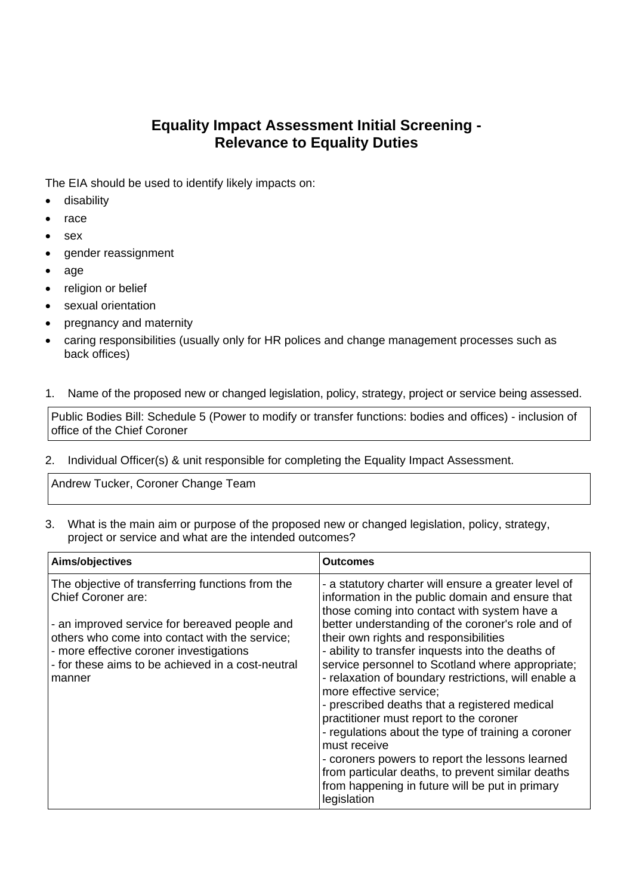## **Equality Impact Assessment Initial Screening - Relevance to Equality Duties**

The EIA should be used to identify likely impacts on:

- **•** disability
- race
- sex
- gender reassignment
- age
- religion or belief
- sexual orientation
- pregnancy and maternity
- caring responsibilities (usually only for HR polices and change management processes such as back offices)
- 1. Name of the proposed new or changed legislation, policy, strategy, project or service being assessed.

Public Bodies Bill: Schedule 5 (Power to modify or transfer functions: bodies and offices) - inclusion of office of the Chief Coroner

2. Individual Officer(s) & unit responsible for completing the Equality Impact Assessment.

Andrew Tucker, Coroner Change Team

3. What is the main aim or purpose of the proposed new or changed legislation, policy, strategy, project or service and what are the intended outcomes?

| Aims/objectives                                                                                                                                                                                                                                                                     | <b>Outcomes</b>                                                                                                                                                                                                                                                                                                                                                                                                                                                                                                                                                                                                      |
|-------------------------------------------------------------------------------------------------------------------------------------------------------------------------------------------------------------------------------------------------------------------------------------|----------------------------------------------------------------------------------------------------------------------------------------------------------------------------------------------------------------------------------------------------------------------------------------------------------------------------------------------------------------------------------------------------------------------------------------------------------------------------------------------------------------------------------------------------------------------------------------------------------------------|
| The objective of transferring functions from the<br>Chief Coroner are:<br>- an improved service for bereaved people and<br>others who come into contact with the service;<br>- more effective coroner investigations<br>- for these aims to be achieved in a cost-neutral<br>manner | - a statutory charter will ensure a greater level of<br>information in the public domain and ensure that<br>those coming into contact with system have a<br>better understanding of the coroner's role and of<br>their own rights and responsibilities<br>- ability to transfer inquests into the deaths of<br>service personnel to Scotland where appropriate;<br>- relaxation of boundary restrictions, will enable a<br>more effective service;<br>- prescribed deaths that a registered medical<br>practitioner must report to the coroner<br>- regulations about the type of training a coroner<br>must receive |
|                                                                                                                                                                                                                                                                                     | - coroners powers to report the lessons learned<br>from particular deaths, to prevent similar deaths<br>from happening in future will be put in primary<br>legislation                                                                                                                                                                                                                                                                                                                                                                                                                                               |